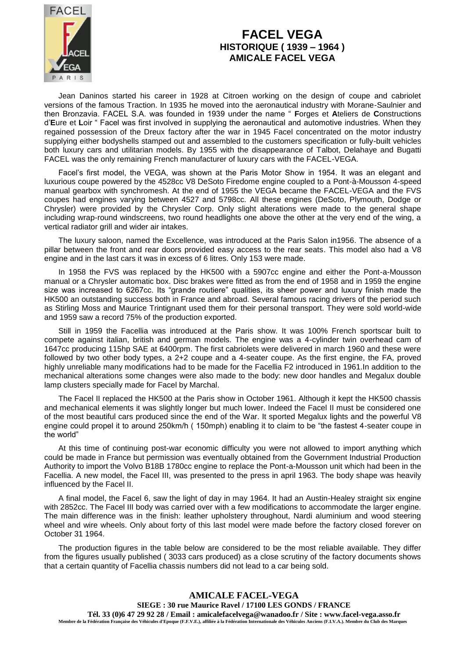

## **FACEL VEGA HISTORIQUE ( 1939 – 1964 ) AMICALE FACEL VEGA**

Jean Daninos started his career in 1928 at Citroen working on the design of coupe and cabriolet versions of the famous Traction. In 1935 he moved into the aeronautical industry with Morane-Saulnier and then Bronzavia. FACEL S.A. was founded in 1939 under the name " **F**orges et **A**teliers de **C**onstructions d'**E**ure et **L**oir " Facel was first involved in supplying the aeronautical and automotive industries. When they regained possession of the Dreux factory after the war in 1945 Facel concentrated on the motor industry supplying either bodyshells stamped out and assembled to the customers specification or fully-built vehicles both luxury cars and utilitarian models. By 1955 with the disappearance of Talbot, Delahaye and Bugatti FACEL was the only remaining French manufacturer of luxury cars with the FACEL-VEGA.

Facel's first model, the VEGA, was shown at the Paris Motor Show in 1954. It was an elegant and luxurious coupe powered by the 4528cc V8 DeSoto Firedome engine coupled to a Pont-à-Mousson 4-speed manual gearbox with synchromesh. At the end of 1955 the VEGA became the FACEL-VEGA and the FVS coupes had engines varying between 4527 and 5798cc. All these engines (DeSoto, Plymouth, Dodge or Chrysler) were provided by the Chrysler Corp. Only slight alterations were made to the general shape including wrap-round windscreens, two round headlights one above the other at the very end of the wing, a vertical radiator grill and wider air intakes.

The luxury saloon, named the Excellence, was introduced at the Paris Salon in1956. The absence of a pillar between the front and rear doors provided easy access to the rear seats. This model also had a V8 engine and in the last cars it was in excess of 6 litres. Only 153 were made.

In 1958 the FVS was replaced by the HK500 with a 5907cc engine and either the Pont-a-Mousson manual or a Chrysler automatic box. Disc brakes were fitted as from the end of 1958 and in 1959 the engine size was increased to 6267cc. Its "grande routiere" qualities, its sheer power and luxury finish made the HK500 an outstanding success both in France and abroad. Several famous racing drivers of the period such as Stirling Moss and Maurice Trintignant used them for their personal transport. They were sold world-wide and 1959 saw a record 75% of the production exported.

Still in 1959 the Facellia was introduced at the Paris show. It was 100% French sportscar built to compete against italian, british and german models. The engine was a 4-cylinder twin overhead cam of 1647cc producing 115hp SAE at 6400rpm. The first cabriolets were delivered in march 1960 and these were followed by two other body types, a 2+2 coupe and a 4-seater coupe. As the first engine, the FA, proved highly unreliable many modifications had to be made for the Facellia F2 introduced in 1961.In addition to the mechanical alterations some changes were also made to the body: new door handles and Megalux double lamp clusters specially made for Facel by Marchal.

The Facel II replaced the HK500 at the Paris show in October 1961. Although it kept the HK500 chassis and mechanical elements it was slightly longer but much lower. Indeed the Facel II must be considered one of the most beautiful cars produced since the end of the War. It sported Megalux lights and the powerful V8 engine could propel it to around 250km/h ( 150mph) enabling it to claim to be "the fastest 4-seater coupe in the world"

At this time of continuing post-war economic difficulty you were not allowed to import anything which could be made in France but permission was eventually obtained from the Government Industrial Production Authority to import the Volvo B18B 1780cc engine to replace the Pont-a-Mousson unit which had been in the Facellia. A new model, the Facel III, was presented to the press in april 1963. The body shape was heavily influenced by the Facel II.

A final model, the Facel 6, saw the light of day in may 1964. It had an Austin-Healey straight six engine with 2852cc. The Facel III body was carried over with a few modifications to accommodate the larger engine. The main difference was in the finish: leather upholstery throughout, Nardi aluminium and wood steering wheel and wire wheels. Only about forty of this last model were made before the factory closed forever on October 31 1964.

The production figures in the table below are considered to be the most reliable available. They differ from the figures usually published ( 3033 cars produced) as a close scrutiny of the factory documents shows that a certain quantity of Facellia chassis numbers did not lead to a car being sold.